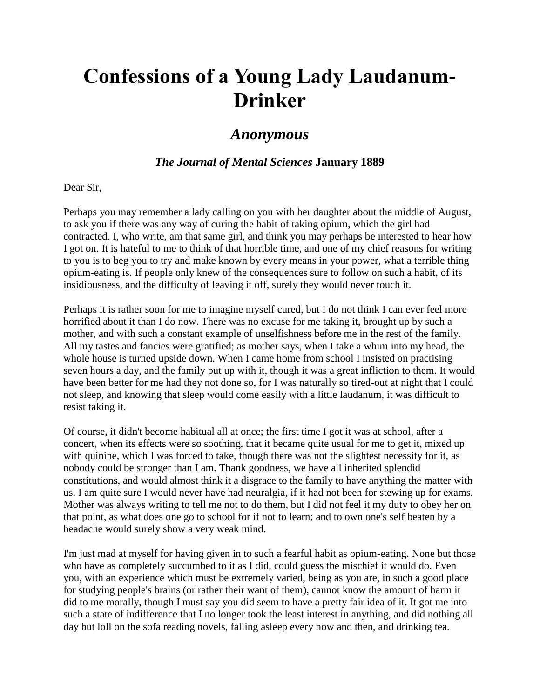## **Confessions of a Young Lady Laudanum-Drinker**

## *Anonymous*

## *The Journal of Mental Sciences* **January 1889**

Dear Sir,

Perhaps you may remember a lady calling on you with her daughter about the middle of August, to ask you if there was any way of curing the habit of taking opium, which the girl had contracted. I, who write, am that same girl, and think you may perhaps be interested to hear how I got on. It is hateful to me to think of that horrible time, and one of my chief reasons for writing to you is to beg you to try and make known by every means in your power, what a terrible thing opium-eating is. If people only knew of the consequences sure to follow on such a habit, of its insidiousness, and the difficulty of leaving it off, surely they would never touch it.

Perhaps it is rather soon for me to imagine myself cured, but I do not think I can ever feel more horrified about it than I do now. There was no excuse for me taking it, brought up by such a mother, and with such a constant example of unselfishness before me in the rest of the family. All my tastes and fancies were gratified; as mother says, when I take a whim into my head, the whole house is turned upside down. When I came home from school I insisted on practising seven hours a day, and the family put up with it, though it was a great infliction to them. It would have been better for me had they not done so, for I was naturally so tired-out at night that I could not sleep, and knowing that sleep would come easily with a little laudanum, it was difficult to resist taking it.

Of course, it didn't become habitual all at once; the first time I got it was at school, after a concert, when its effects were so soothing, that it became quite usual for me to get it, mixed up with quinine, which I was forced to take, though there was not the slightest necessity for it, as nobody could be stronger than I am. Thank goodness, we have all inherited splendid constitutions, and would almost think it a disgrace to the family to have anything the matter with us. I am quite sure I would never have had neuralgia, if it had not been for stewing up for exams. Mother was always writing to tell me not to do them, but I did not feel it my duty to obey her on that point, as what does one go to school for if not to learn; and to own one's self beaten by a headache would surely show a very weak mind.

I'm just mad at myself for having given in to such a fearful habit as opium-eating. None but those who have as completely succumbed to it as I did, could guess the mischief it would do. Even you, with an experience which must be extremely varied, being as you are, in such a good place for studying people's brains (or rather their want of them), cannot know the amount of harm it did to me morally, though I must say you did seem to have a pretty fair idea of it. It got me into such a state of indifference that I no longer took the least interest in anything, and did nothing all day but loll on the sofa reading novels, falling asleep every now and then, and drinking tea.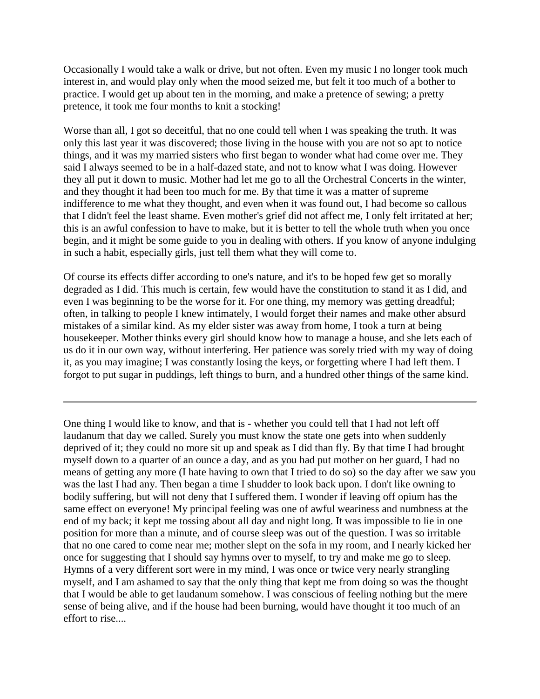Occasionally I would take a walk or drive, but not often. Even my music I no longer took much interest in, and would play only when the mood seized me, but felt it too much of a bother to practice. I would get up about ten in the morning, and make a pretence of sewing; a pretty pretence, it took me four months to knit a stocking!

Worse than all, I got so deceitful, that no one could tell when I was speaking the truth. It was only this last year it was discovered; those living in the house with you are not so apt to notice things, and it was my married sisters who first began to wonder what had come over me. They said I always seemed to be in a half-dazed state, and not to know what I was doing. However they all put it down to music. Mother had let me go to all the Orchestral Concerts in the winter, and they thought it had been too much for me. By that time it was a matter of supreme indifference to me what they thought, and even when it was found out, I had become so callous that I didn't feel the least shame. Even mother's grief did not affect me, I only felt irritated at her; this is an awful confession to have to make, but it is better to tell the whole truth when you once begin, and it might be some guide to you in dealing with others. If you know of anyone indulging in such a habit, especially girls, just tell them what they will come to.

Of course its effects differ according to one's nature, and it's to be hoped few get so morally degraded as I did. This much is certain, few would have the constitution to stand it as I did, and even I was beginning to be the worse for it. For one thing, my memory was getting dreadful; often, in talking to people I knew intimately, I would forget their names and make other absurd mistakes of a similar kind. As my elder sister was away from home, I took a turn at being housekeeper. Mother thinks every girl should know how to manage a house, and she lets each of us do it in our own way, without interfering. Her patience was sorely tried with my way of doing it, as you may imagine; I was constantly losing the keys, or forgetting where I had left them. I forgot to put sugar in puddings, left things to burn, and a hundred other things of the same kind.

One thing I would like to know, and that is - whether you could tell that I had not left off laudanum that day we called. Surely you must know the state one gets into when suddenly deprived of it; they could no more sit up and speak as I did than fly. By that time I had brought myself down to a quarter of an ounce a day, and as you had put mother on her guard, I had no means of getting any more (I hate having to own that I tried to do so) so the day after we saw you was the last I had any. Then began a time I shudder to look back upon. I don't like owning to bodily suffering, but will not deny that I suffered them. I wonder if leaving off opium has the same effect on everyone! My principal feeling was one of awful weariness and numbness at the end of my back; it kept me tossing about all day and night long. It was impossible to lie in one position for more than a minute, and of course sleep was out of the question. I was so irritable that no one cared to come near me; mother slept on the sofa in my room, and I nearly kicked her once for suggesting that I should say hymns over to myself, to try and make me go to sleep. Hymns of a very different sort were in my mind, I was once or twice very nearly strangling myself, and I am ashamed to say that the only thing that kept me from doing so was the thought that I would be able to get laudanum somehow. I was conscious of feeling nothing but the mere sense of being alive, and if the house had been burning, would have thought it too much of an effort to rise....